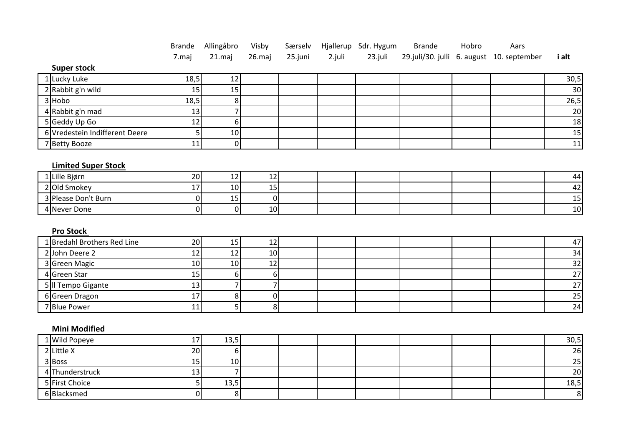|                                | <b>Brande</b>  | Allingåbro     | Visby            | Særselv |        | Hjallerup Sdr. Hygum | <b>Brande</b> | Hobro | Aars                                      |                                                                           |
|--------------------------------|----------------|----------------|------------------|---------|--------|----------------------|---------------|-------|-------------------------------------------|---------------------------------------------------------------------------|
|                                | 7.maj          | $21$ .maj      | 26.maj           | 25.juni | 2.juli | 23.juli              |               |       | 29.juli/30. julli 6. august 10. september | i alt                                                                     |
| <b>Super stock</b>             |                |                |                  |         |        |                      |               |       |                                           |                                                                           |
| 1 Lucky Luke                   | 18,5           | 12             |                  |         |        |                      |               |       |                                           | 30,5                                                                      |
| 2 Rabbit g'n wild              | 15             | 15             |                  |         |        |                      |               |       |                                           | 30 <sub>o</sub>                                                           |
| 3 Hobo                         | 18,5           | 8 <sup>1</sup> |                  |         |        |                      |               |       |                                           | 26,5                                                                      |
| 4 Rabbit g'n mad               | 13             |                |                  |         |        |                      |               |       |                                           | $\overline{20}$                                                           |
| 5 Geddy Up Go                  | 12             | 6 <sup>1</sup> |                  |         |        |                      |               |       |                                           | $\frac{18}{15}$                                                           |
| 6 Vredestein Indifferent Deere | 5              | 10             |                  |         |        |                      |               |       |                                           |                                                                           |
| 7 Betty Booze                  | 11             | $\overline{0}$ |                  |         |        |                      |               |       |                                           | $\overline{11}$                                                           |
|                                |                |                |                  |         |        |                      |               |       |                                           |                                                                           |
| <b>Limited Super Stock</b>     |                |                |                  |         |        |                      |               |       |                                           |                                                                           |
| 1 Lille Bjørn                  | 20             | 12             | 12               |         |        |                      |               |       |                                           |                                                                           |
| 2 Old Smokey                   | 17             | 10             | 15               |         |        |                      |               |       |                                           | $\begin{array}{r} \n \stackrel{44}{\longrightarrow} \\  15\n \end{array}$ |
| 3 Please Don't Burn            | $\overline{0}$ | 15             | $\overline{0}$   |         |        |                      |               |       |                                           |                                                                           |
| 4 Never Done                   | $\overline{0}$ | 0              | 10               |         |        |                      |               |       |                                           | 10                                                                        |
|                                |                |                |                  |         |        |                      |               |       |                                           |                                                                           |
| <b>Pro Stock</b>               |                |                |                  |         |        |                      |               |       |                                           |                                                                           |
| 1 Bredahl Brothers Red Line    | 20             | 15             | 12               |         |        |                      |               |       |                                           | 47                                                                        |
| 2John Deere 2                  | 12             | 12             | 10               |         |        |                      |               |       |                                           |                                                                           |
| 3 Green Magic                  | 10             | 10             | 12               |         |        |                      |               |       |                                           | $\frac{34}{32}$ $\frac{32}{27}$                                           |
| 4 Green Star                   | 15             | 6 <sup>1</sup> | $\boldsymbol{6}$ |         |        |                      |               |       |                                           |                                                                           |
| 5 Il Tempo Gigante             | 13             |                | $\overline{z}$   |         |        |                      |               |       |                                           | $\overline{27}$                                                           |
| 6 Green Dragon                 | 17             | 8 <sup>1</sup> | $\pmb{0}$        |         |        |                      |               |       |                                           | $\frac{1}{25}$                                                            |
| 7 Blue Power                   | 11             | 5 <sup>1</sup> | 8 <sup>1</sup>   |         |        |                      |               |       |                                           |                                                                           |
|                                |                |                |                  |         |        |                      |               |       |                                           |                                                                           |
| <b>Mini Modified</b>           |                |                |                  |         |        |                      |               |       |                                           |                                                                           |
| <b>Wild Popeye</b>             | 17             | 13,5           |                  |         |        |                      |               |       |                                           | $\frac{30,5}{26}$                                                         |
| $2$ Little X                   | 20             | 6 <sup>1</sup> |                  |         |        |                      |               |       |                                           |                                                                           |

 Boss 15 10 25 Thunderstruck 13 7 20 First Choice 5 13,5 18,5 Blacksmed 0 8 8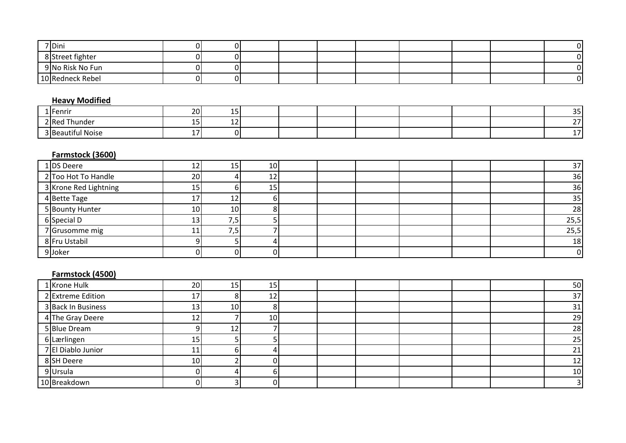| 7 Dini           |  |  |  |  |  |
|------------------|--|--|--|--|--|
| 8 Street fighter |  |  |  |  |  |
| 9 No Risk No Fun |  |  |  |  |  |
| 10 Redneck Rebel |  |  |  |  |  |

## **Heavy Modified**

| 1 Fenrir                | 20 <sub>l</sub> |   |  |  |  | $\sim$ $-$<br>--     |
|-------------------------|-----------------|---|--|--|--|----------------------|
| 2 Red<br>Thunder        | . .<br>∸∸       | . |  |  |  | $\sim$ $\sim$<br>. . |
| 3 Reau<br>autiful Noise |                 |   |  |  |  |                      |

## **Farmstock (3600)**

| 1 DS Deere            |                 |     | 10 <sup>1</sup> |  |  |  | 37             |
|-----------------------|-----------------|-----|-----------------|--|--|--|----------------|
| 2 Too Hot To Handle   | 20 <sub>1</sub> |     | 12              |  |  |  | 36             |
| 3 Krone Red Lightning | כו              |     | 15              |  |  |  | 36             |
| 4Bette Tage           | 17              | ∸   |                 |  |  |  | 35             |
| 5 Bounty Hunter       | 10I             | 10I |                 |  |  |  | 28             |
| 6 Special D           | د ک             | د.  |                 |  |  |  | 25,5           |
| 7 Grusomme mig        |                 | د,  |                 |  |  |  | 25,5           |
| 8 Fru Ustabil         |                 |     |                 |  |  |  | 18             |
| 9Joker                |                 |     |                 |  |  |  | $\overline{0}$ |

## **Farmstock (4500)**

| 1 Krone Hulk       | 20 l            | 15              | 15              |  |  |  | 50              |
|--------------------|-----------------|-----------------|-----------------|--|--|--|-----------------|
| 2 Extreme Edition  |                 |                 | 12              |  |  |  | 37              |
| 3 Back In Business | 13              | 10 <sup>1</sup> |                 |  |  |  | 31              |
| 4 The Gray Deere   |                 |                 | 10 <sup>1</sup> |  |  |  | 29              |
| 5 Blue Dream       |                 | ∸               |                 |  |  |  | 28              |
| 6 Lærlingen        | 15              |                 |                 |  |  |  | 25              |
| 7 El Diablo Junior |                 |                 |                 |  |  |  | 21              |
| 8 SH Deere         | 10 <sub>1</sub> |                 |                 |  |  |  | 12              |
| 9 Ursula           |                 |                 | b.              |  |  |  | 10 <sub>l</sub> |
| 10 Breakdown       |                 |                 |                 |  |  |  |                 |